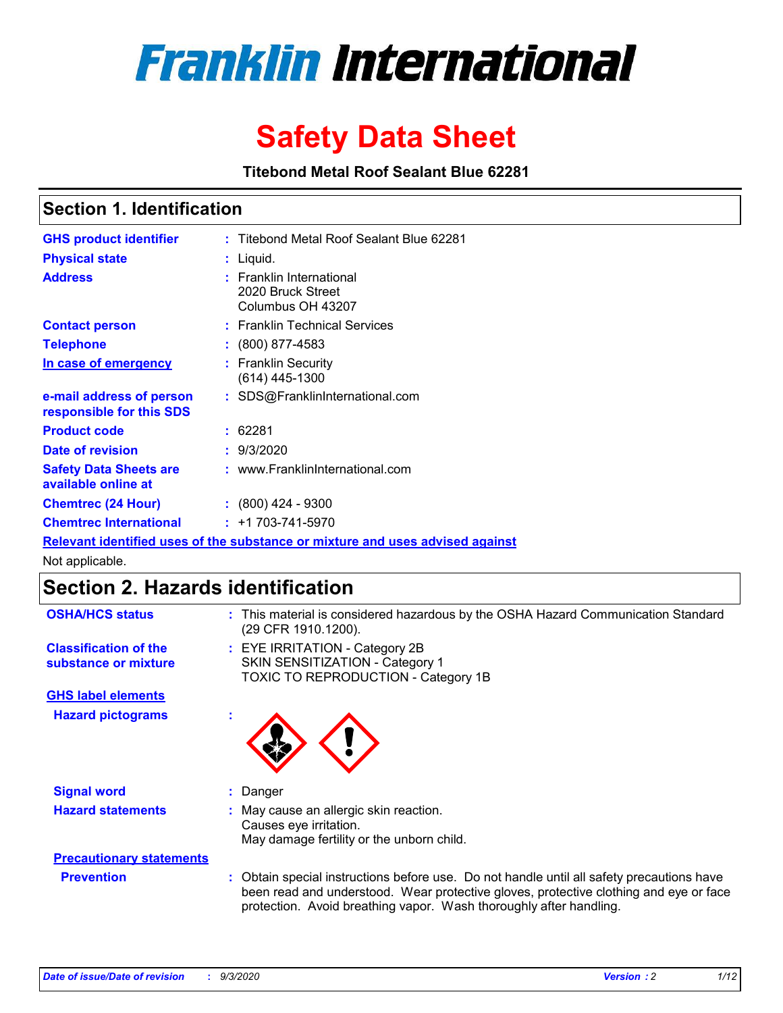

# **Safety Data Sheet**

**Titebond Metal Roof Sealant Blue 62281**

### **Section 1. Identification**

| <b>GHS product identifier</b>                                                 |  | : Titebond Metal Roof Sealant Blue 62281                           |  |  |
|-------------------------------------------------------------------------------|--|--------------------------------------------------------------------|--|--|
| <b>Physical state</b>                                                         |  | : Liquid.                                                          |  |  |
| <b>Address</b>                                                                |  | : Franklin International<br>2020 Bruck Street<br>Columbus OH 43207 |  |  |
| <b>Contact person</b>                                                         |  | : Franklin Technical Services                                      |  |  |
| <b>Telephone</b>                                                              |  | $\colon$ (800) 877-4583                                            |  |  |
| In case of emergency                                                          |  | : Franklin Security<br>(614) 445-1300                              |  |  |
| e-mail address of person<br>responsible for this SDS                          |  | : SDS@FranklinInternational.com                                    |  |  |
| <b>Product code</b>                                                           |  | : 62281                                                            |  |  |
| Date of revision                                                              |  | : 9/3/2020                                                         |  |  |
| <b>Safety Data Sheets are</b><br>available online at                          |  | : www.FranklinInternational.com                                    |  |  |
| <b>Chemtrec (24 Hour)</b>                                                     |  | : (800) 424 - 9300                                                 |  |  |
| <b>Chemtrec International</b>                                                 |  | $: +1703 - 741 - 5970$                                             |  |  |
| Relevant identified uses of the substance or mixture and uses advised against |  |                                                                    |  |  |

Not applicable.

### **Section 2. Hazards identification**

| <b>OSHA/HCS status</b>                               | This material is considered hazardous by the OSHA Hazard Communication Standard<br>(29 CFR 1910.1200).                                                                                                                                                 |
|------------------------------------------------------|--------------------------------------------------------------------------------------------------------------------------------------------------------------------------------------------------------------------------------------------------------|
| <b>Classification of the</b><br>substance or mixture | : EYE IRRITATION - Category 2B<br>SKIN SENSITIZATION - Category 1<br>TOXIC TO REPRODUCTION - Category 1B                                                                                                                                               |
| <b>GHS label elements</b>                            |                                                                                                                                                                                                                                                        |
| <b>Hazard pictograms</b>                             |                                                                                                                                                                                                                                                        |
| <b>Signal word</b>                                   | Danger                                                                                                                                                                                                                                                 |
| <b>Hazard statements</b>                             | May cause an allergic skin reaction.<br>Causes eye irritation.<br>May damage fertility or the unborn child.                                                                                                                                            |
| <b>Precautionary statements</b>                      |                                                                                                                                                                                                                                                        |
| <b>Prevention</b>                                    | Obtain special instructions before use. Do not handle until all safety precautions have<br>been read and understood. Wear protective gloves, protective clothing and eye or face<br>protection. Avoid breathing vapor. Wash thoroughly after handling. |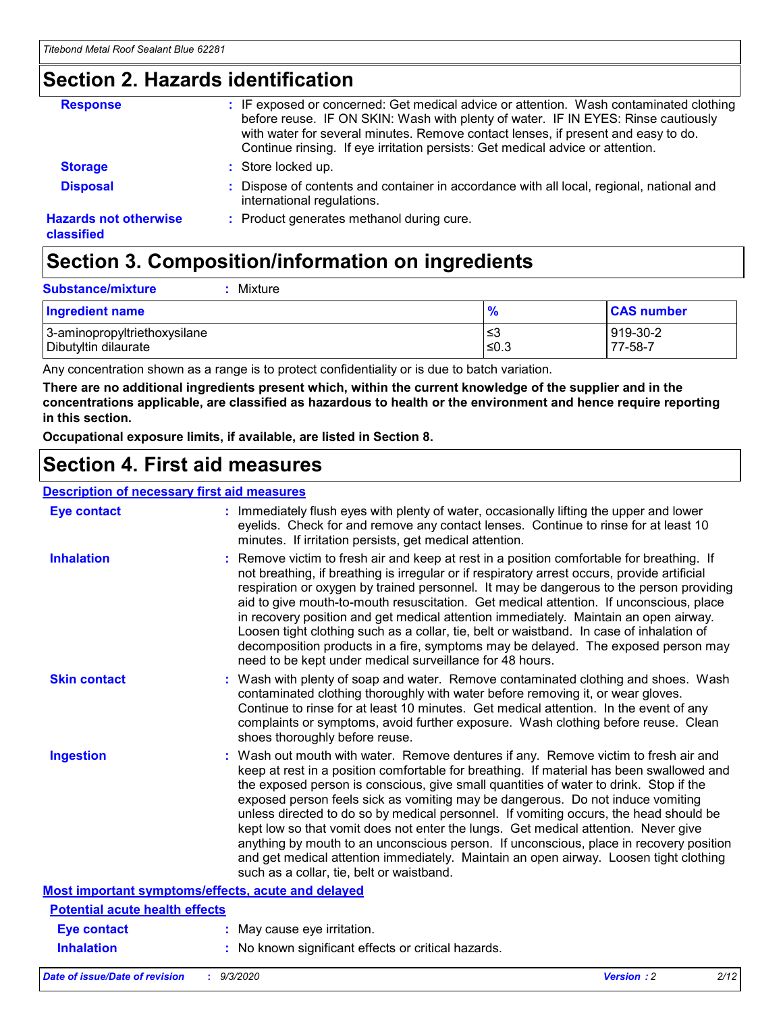### **Section 2. Hazards identification**

| <b>Response</b>                            | : IF exposed or concerned: Get medical advice or attention. Wash contaminated clothing<br>before reuse. IF ON SKIN: Wash with plenty of water. IF IN EYES: Rinse cautiously<br>with water for several minutes. Remove contact lenses, if present and easy to do.<br>Continue rinsing. If eye irritation persists: Get medical advice or attention. |
|--------------------------------------------|----------------------------------------------------------------------------------------------------------------------------------------------------------------------------------------------------------------------------------------------------------------------------------------------------------------------------------------------------|
| <b>Storage</b>                             | : Store locked up.                                                                                                                                                                                                                                                                                                                                 |
| <b>Disposal</b>                            | : Dispose of contents and container in accordance with all local, regional, national and<br>international regulations.                                                                                                                                                                                                                             |
| <b>Hazards not otherwise</b><br>classified | : Product generates methanol during cure.                                                                                                                                                                                                                                                                                                          |

# **Section 3. Composition/information on ingredients**

| <b>Substance/mixture</b> | Mixture |
|--------------------------|---------|
|                          |         |

| Ingredient name              | $\frac{9}{6}$ | <b>CAS number</b> |
|------------------------------|---------------|-------------------|
| 3-aminopropyltriethoxysilane | '≤3           | 919-30-2          |
| Dibutyltin dilaurate         | ≤0.3          | 77-58-7           |

Any concentration shown as a range is to protect confidentiality or is due to batch variation.

**There are no additional ingredients present which, within the current knowledge of the supplier and in the concentrations applicable, are classified as hazardous to health or the environment and hence require reporting in this section.**

**Occupational exposure limits, if available, are listed in Section 8.**

### **Section 4. First aid measures**

| <b>Description of necessary first aid measures</b> |                                                                                                                                                                                                                                                                                                                                                                                                                                                                                                                                                                                                                                                                                                                                                                           |
|----------------------------------------------------|---------------------------------------------------------------------------------------------------------------------------------------------------------------------------------------------------------------------------------------------------------------------------------------------------------------------------------------------------------------------------------------------------------------------------------------------------------------------------------------------------------------------------------------------------------------------------------------------------------------------------------------------------------------------------------------------------------------------------------------------------------------------------|
| <b>Eye contact</b>                                 | : Immediately flush eyes with plenty of water, occasionally lifting the upper and lower<br>eyelids. Check for and remove any contact lenses. Continue to rinse for at least 10<br>minutes. If irritation persists, get medical attention.                                                                                                                                                                                                                                                                                                                                                                                                                                                                                                                                 |
| <b>Inhalation</b>                                  | : Remove victim to fresh air and keep at rest in a position comfortable for breathing. If<br>not breathing, if breathing is irregular or if respiratory arrest occurs, provide artificial<br>respiration or oxygen by trained personnel. It may be dangerous to the person providing<br>aid to give mouth-to-mouth resuscitation. Get medical attention. If unconscious, place<br>in recovery position and get medical attention immediately. Maintain an open airway.<br>Loosen tight clothing such as a collar, tie, belt or waistband. In case of inhalation of<br>decomposition products in a fire, symptoms may be delayed. The exposed person may<br>need to be kept under medical surveillance for 48 hours.                                                       |
| <b>Skin contact</b>                                | : Wash with plenty of soap and water. Remove contaminated clothing and shoes. Wash<br>contaminated clothing thoroughly with water before removing it, or wear gloves.<br>Continue to rinse for at least 10 minutes. Get medical attention. In the event of any<br>complaints or symptoms, avoid further exposure. Wash clothing before reuse. Clean<br>shoes thoroughly before reuse.                                                                                                                                                                                                                                                                                                                                                                                     |
| <b>Ingestion</b>                                   | : Wash out mouth with water. Remove dentures if any. Remove victim to fresh air and<br>keep at rest in a position comfortable for breathing. If material has been swallowed and<br>the exposed person is conscious, give small quantities of water to drink. Stop if the<br>exposed person feels sick as vomiting may be dangerous. Do not induce vomiting<br>unless directed to do so by medical personnel. If vomiting occurs, the head should be<br>kept low so that vomit does not enter the lungs. Get medical attention. Never give<br>anything by mouth to an unconscious person. If unconscious, place in recovery position<br>and get medical attention immediately. Maintain an open airway. Loosen tight clothing<br>such as a collar, tie, belt or waistband. |
| Most important symptoms/effects, acute and delayed |                                                                                                                                                                                                                                                                                                                                                                                                                                                                                                                                                                                                                                                                                                                                                                           |
| <b>Potential acute health effects</b>              |                                                                                                                                                                                                                                                                                                                                                                                                                                                                                                                                                                                                                                                                                                                                                                           |
| Eye contact                                        | : May cause eye irritation.                                                                                                                                                                                                                                                                                                                                                                                                                                                                                                                                                                                                                                                                                                                                               |
| <b>Inhalation</b>                                  | : No known significant effects or critical hazards.                                                                                                                                                                                                                                                                                                                                                                                                                                                                                                                                                                                                                                                                                                                       |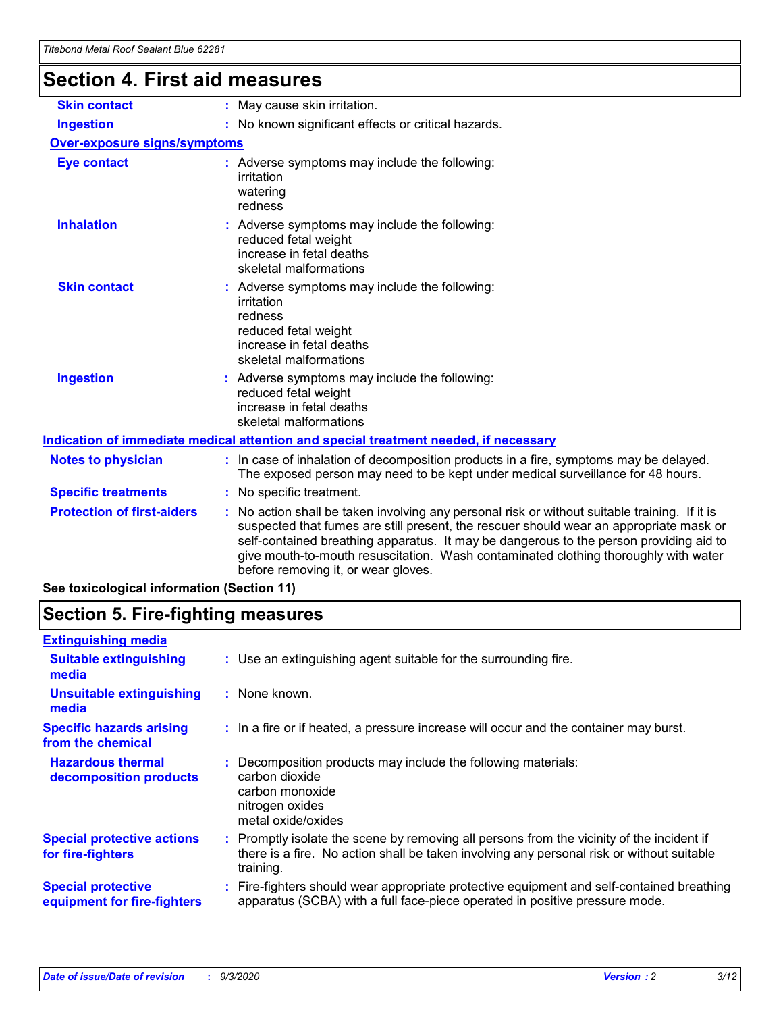# **Section 4. First aid measures**

| <b>Skin contact</b>                        | May cause skin irritation.<br>÷.                                                                                                                                                                                                                                                                                                                                                                              |  |  |
|--------------------------------------------|---------------------------------------------------------------------------------------------------------------------------------------------------------------------------------------------------------------------------------------------------------------------------------------------------------------------------------------------------------------------------------------------------------------|--|--|
| <b>Ingestion</b>                           | : No known significant effects or critical hazards.                                                                                                                                                                                                                                                                                                                                                           |  |  |
| <b>Over-exposure signs/symptoms</b>        |                                                                                                                                                                                                                                                                                                                                                                                                               |  |  |
| <b>Eye contact</b>                         | : Adverse symptoms may include the following:<br>irritation<br>watering<br>redness                                                                                                                                                                                                                                                                                                                            |  |  |
| <b>Inhalation</b>                          | : Adverse symptoms may include the following:<br>reduced fetal weight<br>increase in fetal deaths<br>skeletal malformations                                                                                                                                                                                                                                                                                   |  |  |
| <b>Skin contact</b>                        | Adverse symptoms may include the following:<br>irritation<br>redness<br>reduced fetal weight<br>increase in fetal deaths<br>skeletal malformations                                                                                                                                                                                                                                                            |  |  |
| <b>Ingestion</b>                           | : Adverse symptoms may include the following:<br>reduced fetal weight<br>increase in fetal deaths<br>skeletal malformations                                                                                                                                                                                                                                                                                   |  |  |
|                                            | Indication of immediate medical attention and special treatment needed, if necessary                                                                                                                                                                                                                                                                                                                          |  |  |
| <b>Notes to physician</b>                  | : In case of inhalation of decomposition products in a fire, symptoms may be delayed.<br>The exposed person may need to be kept under medical surveillance for 48 hours.                                                                                                                                                                                                                                      |  |  |
| <b>Specific treatments</b>                 | : No specific treatment.                                                                                                                                                                                                                                                                                                                                                                                      |  |  |
| <b>Protection of first-aiders</b>          | No action shall be taken involving any personal risk or without suitable training. If it is<br>suspected that fumes are still present, the rescuer should wear an appropriate mask or<br>self-contained breathing apparatus. It may be dangerous to the person providing aid to<br>give mouth-to-mouth resuscitation. Wash contaminated clothing thoroughly with water<br>before removing it, or wear gloves. |  |  |
| See toxicological information (Section 11) |                                                                                                                                                                                                                                                                                                                                                                                                               |  |  |

# **Section 5. Fire-fighting measures**

| <b>Extinguishing media</b><br>: Use an extinguishing agent suitable for the surrounding fire.<br><b>Suitable extinguishing</b><br>media<br><b>Unsuitable extinguishing</b><br>: None known.<br>media<br><b>Specific hazards arising</b><br>: In a fire or if heated, a pressure increase will occur and the container may burst.<br>from the chemical<br><b>Hazardous thermal</b><br>Decomposition products may include the following materials:<br>carbon dioxide<br>decomposition products<br>carbon monoxide<br>nitrogen oxides<br>metal oxide/oxides<br><b>Special protective actions</b><br>for fire-fighters<br>training.<br><b>Special protective</b> |                             |                                                                                                                                                                                        |
|--------------------------------------------------------------------------------------------------------------------------------------------------------------------------------------------------------------------------------------------------------------------------------------------------------------------------------------------------------------------------------------------------------------------------------------------------------------------------------------------------------------------------------------------------------------------------------------------------------------------------------------------------------------|-----------------------------|----------------------------------------------------------------------------------------------------------------------------------------------------------------------------------------|
|                                                                                                                                                                                                                                                                                                                                                                                                                                                                                                                                                                                                                                                              |                             |                                                                                                                                                                                        |
|                                                                                                                                                                                                                                                                                                                                                                                                                                                                                                                                                                                                                                                              |                             |                                                                                                                                                                                        |
|                                                                                                                                                                                                                                                                                                                                                                                                                                                                                                                                                                                                                                                              |                             |                                                                                                                                                                                        |
|                                                                                                                                                                                                                                                                                                                                                                                                                                                                                                                                                                                                                                                              |                             |                                                                                                                                                                                        |
|                                                                                                                                                                                                                                                                                                                                                                                                                                                                                                                                                                                                                                                              |                             |                                                                                                                                                                                        |
|                                                                                                                                                                                                                                                                                                                                                                                                                                                                                                                                                                                                                                                              |                             | : Promptly isolate the scene by removing all persons from the vicinity of the incident if<br>there is a fire. No action shall be taken involving any personal risk or without suitable |
|                                                                                                                                                                                                                                                                                                                                                                                                                                                                                                                                                                                                                                                              | equipment for fire-fighters | Fire-fighters should wear appropriate protective equipment and self-contained breathing<br>apparatus (SCBA) with a full face-piece operated in positive pressure mode.                 |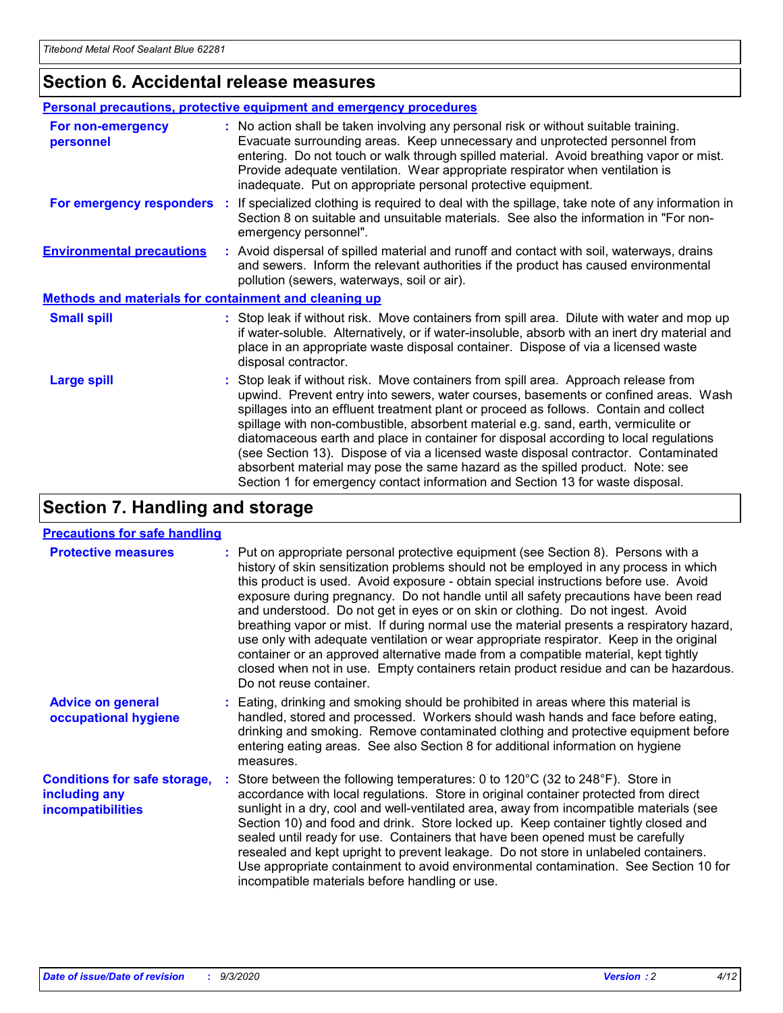### **Section 6. Accidental release measures**

|                                                              | <b>Personal precautions, protective equipment and emergency procedures</b>                                                                                                                                                                                                                                                                                                                                                                                                                                                                                                                                                                                                                                   |
|--------------------------------------------------------------|--------------------------------------------------------------------------------------------------------------------------------------------------------------------------------------------------------------------------------------------------------------------------------------------------------------------------------------------------------------------------------------------------------------------------------------------------------------------------------------------------------------------------------------------------------------------------------------------------------------------------------------------------------------------------------------------------------------|
| For non-emergency<br>personnel                               | : No action shall be taken involving any personal risk or without suitable training.<br>Evacuate surrounding areas. Keep unnecessary and unprotected personnel from<br>entering. Do not touch or walk through spilled material. Avoid breathing vapor or mist.<br>Provide adequate ventilation. Wear appropriate respirator when ventilation is<br>inadequate. Put on appropriate personal protective equipment.                                                                                                                                                                                                                                                                                             |
| For emergency responders                                     | : If specialized clothing is required to deal with the spillage, take note of any information in<br>Section 8 on suitable and unsuitable materials. See also the information in "For non-<br>emergency personnel".                                                                                                                                                                                                                                                                                                                                                                                                                                                                                           |
| <b>Environmental precautions</b>                             | : Avoid dispersal of spilled material and runoff and contact with soil, waterways, drains<br>and sewers. Inform the relevant authorities if the product has caused environmental<br>pollution (sewers, waterways, soil or air).                                                                                                                                                                                                                                                                                                                                                                                                                                                                              |
| <b>Methods and materials for containment and cleaning up</b> |                                                                                                                                                                                                                                                                                                                                                                                                                                                                                                                                                                                                                                                                                                              |
| <b>Small spill</b>                                           | : Stop leak if without risk. Move containers from spill area. Dilute with water and mop up<br>if water-soluble. Alternatively, or if water-insoluble, absorb with an inert dry material and<br>place in an appropriate waste disposal container. Dispose of via a licensed waste<br>disposal contractor.                                                                                                                                                                                                                                                                                                                                                                                                     |
| <b>Large spill</b>                                           | : Stop leak if without risk. Move containers from spill area. Approach release from<br>upwind. Prevent entry into sewers, water courses, basements or confined areas. Wash<br>spillages into an effluent treatment plant or proceed as follows. Contain and collect<br>spillage with non-combustible, absorbent material e.g. sand, earth, vermiculite or<br>diatomaceous earth and place in container for disposal according to local regulations<br>(see Section 13). Dispose of via a licensed waste disposal contractor. Contaminated<br>absorbent material may pose the same hazard as the spilled product. Note: see<br>Section 1 for emergency contact information and Section 13 for waste disposal. |

### **Section 7. Handling and storage**

#### **Precautions for safe handling**

| <b>Protective measures</b>                                                       | : Put on appropriate personal protective equipment (see Section 8). Persons with a<br>history of skin sensitization problems should not be employed in any process in which<br>this product is used. Avoid exposure - obtain special instructions before use. Avoid<br>exposure during pregnancy. Do not handle until all safety precautions have been read<br>and understood. Do not get in eyes or on skin or clothing. Do not ingest. Avoid<br>breathing vapor or mist. If during normal use the material presents a respiratory hazard,<br>use only with adequate ventilation or wear appropriate respirator. Keep in the original<br>container or an approved alternative made from a compatible material, kept tightly<br>closed when not in use. Empty containers retain product residue and can be hazardous.<br>Do not reuse container. |
|----------------------------------------------------------------------------------|--------------------------------------------------------------------------------------------------------------------------------------------------------------------------------------------------------------------------------------------------------------------------------------------------------------------------------------------------------------------------------------------------------------------------------------------------------------------------------------------------------------------------------------------------------------------------------------------------------------------------------------------------------------------------------------------------------------------------------------------------------------------------------------------------------------------------------------------------|
| <b>Advice on general</b><br>occupational hygiene                                 | : Eating, drinking and smoking should be prohibited in areas where this material is<br>handled, stored and processed. Workers should wash hands and face before eating,<br>drinking and smoking. Remove contaminated clothing and protective equipment before<br>entering eating areas. See also Section 8 for additional information on hygiene<br>measures.                                                                                                                                                                                                                                                                                                                                                                                                                                                                                    |
| <b>Conditions for safe storage,</b><br>including any<br><i>incompatibilities</i> | Store between the following temperatures: 0 to 120°C (32 to 248°F). Store in<br>accordance with local regulations. Store in original container protected from direct<br>sunlight in a dry, cool and well-ventilated area, away from incompatible materials (see<br>Section 10) and food and drink. Store locked up. Keep container tightly closed and<br>sealed until ready for use. Containers that have been opened must be carefully<br>resealed and kept upright to prevent leakage. Do not store in unlabeled containers.<br>Use appropriate containment to avoid environmental contamination. See Section 10 for<br>incompatible materials before handling or use.                                                                                                                                                                         |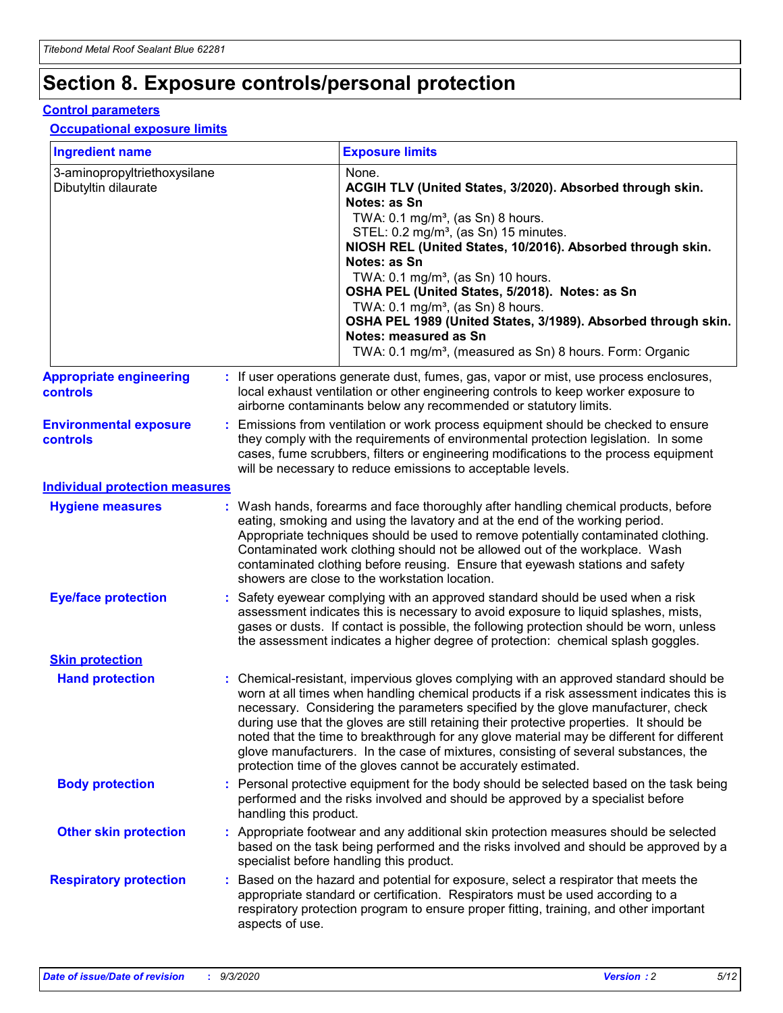## **Section 8. Exposure controls/personal protection**

#### **Control parameters**

#### **Occupational exposure limits**

| <b>Ingredient name</b>                               |    |                        | <b>Exposure limits</b>                                                                                                                                                                                                                                                                                                                                                                                                                                                                                                                                                                                                 |
|------------------------------------------------------|----|------------------------|------------------------------------------------------------------------------------------------------------------------------------------------------------------------------------------------------------------------------------------------------------------------------------------------------------------------------------------------------------------------------------------------------------------------------------------------------------------------------------------------------------------------------------------------------------------------------------------------------------------------|
| 3-aminopropyltriethoxysilane<br>Dibutyltin dilaurate |    |                        | None.<br>ACGIH TLV (United States, 3/2020). Absorbed through skin.<br>Notes: as Sn<br>TWA: $0.1 \text{ mg/m}^3$ , (as Sn) 8 hours.<br>STEL: 0.2 mg/m <sup>3</sup> , (as Sn) 15 minutes.<br>NIOSH REL (United States, 10/2016). Absorbed through skin.<br>Notes: as Sn<br>TWA: 0.1 mg/m <sup>3</sup> , (as Sn) 10 hours.<br>OSHA PEL (United States, 5/2018). Notes: as Sn<br>TWA: 0.1 mg/m <sup>3</sup> , (as Sn) 8 hours.<br>OSHA PEL 1989 (United States, 3/1989). Absorbed through skin.<br>Notes: measured as Sn<br>TWA: 0.1 mg/m <sup>3</sup> , (measured as Sn) 8 hours. Form: Organic                           |
| <b>Appropriate engineering</b><br>controls           |    |                        | : If user operations generate dust, fumes, gas, vapor or mist, use process enclosures,<br>local exhaust ventilation or other engineering controls to keep worker exposure to<br>airborne contaminants below any recommended or statutory limits.                                                                                                                                                                                                                                                                                                                                                                       |
| <b>Environmental exposure</b><br>controls            |    |                        | Emissions from ventilation or work process equipment should be checked to ensure<br>they comply with the requirements of environmental protection legislation. In some<br>cases, fume scrubbers, filters or engineering modifications to the process equipment<br>will be necessary to reduce emissions to acceptable levels.                                                                                                                                                                                                                                                                                          |
| <b>Individual protection measures</b>                |    |                        |                                                                                                                                                                                                                                                                                                                                                                                                                                                                                                                                                                                                                        |
| <b>Hygiene measures</b>                              |    |                        | : Wash hands, forearms and face thoroughly after handling chemical products, before<br>eating, smoking and using the lavatory and at the end of the working period.<br>Appropriate techniques should be used to remove potentially contaminated clothing.<br>Contaminated work clothing should not be allowed out of the workplace. Wash<br>contaminated clothing before reusing. Ensure that eyewash stations and safety<br>showers are close to the workstation location.                                                                                                                                            |
| <b>Eye/face protection</b>                           |    |                        | Safety eyewear complying with an approved standard should be used when a risk<br>assessment indicates this is necessary to avoid exposure to liquid splashes, mists,<br>gases or dusts. If contact is possible, the following protection should be worn, unless<br>the assessment indicates a higher degree of protection: chemical splash goggles.                                                                                                                                                                                                                                                                    |
| <b>Skin protection</b>                               |    |                        |                                                                                                                                                                                                                                                                                                                                                                                                                                                                                                                                                                                                                        |
| <b>Hand protection</b>                               |    |                        | : Chemical-resistant, impervious gloves complying with an approved standard should be<br>worn at all times when handling chemical products if a risk assessment indicates this is<br>necessary. Considering the parameters specified by the glove manufacturer, check<br>during use that the gloves are still retaining their protective properties. It should be<br>noted that the time to breakthrough for any glove material may be different for different<br>glove manufacturers. In the case of mixtures, consisting of several substances, the<br>protection time of the gloves cannot be accurately estimated. |
| <b>Body protection</b>                               |    | handling this product. | Personal protective equipment for the body should be selected based on the task being<br>performed and the risks involved and should be approved by a specialist before                                                                                                                                                                                                                                                                                                                                                                                                                                                |
| <b>Other skin protection</b>                         |    |                        | : Appropriate footwear and any additional skin protection measures should be selected<br>based on the task being performed and the risks involved and should be approved by a<br>specialist before handling this product.                                                                                                                                                                                                                                                                                                                                                                                              |
| <b>Respiratory protection</b>                        | ÷. | aspects of use.        | Based on the hazard and potential for exposure, select a respirator that meets the<br>appropriate standard or certification. Respirators must be used according to a<br>respiratory protection program to ensure proper fitting, training, and other important                                                                                                                                                                                                                                                                                                                                                         |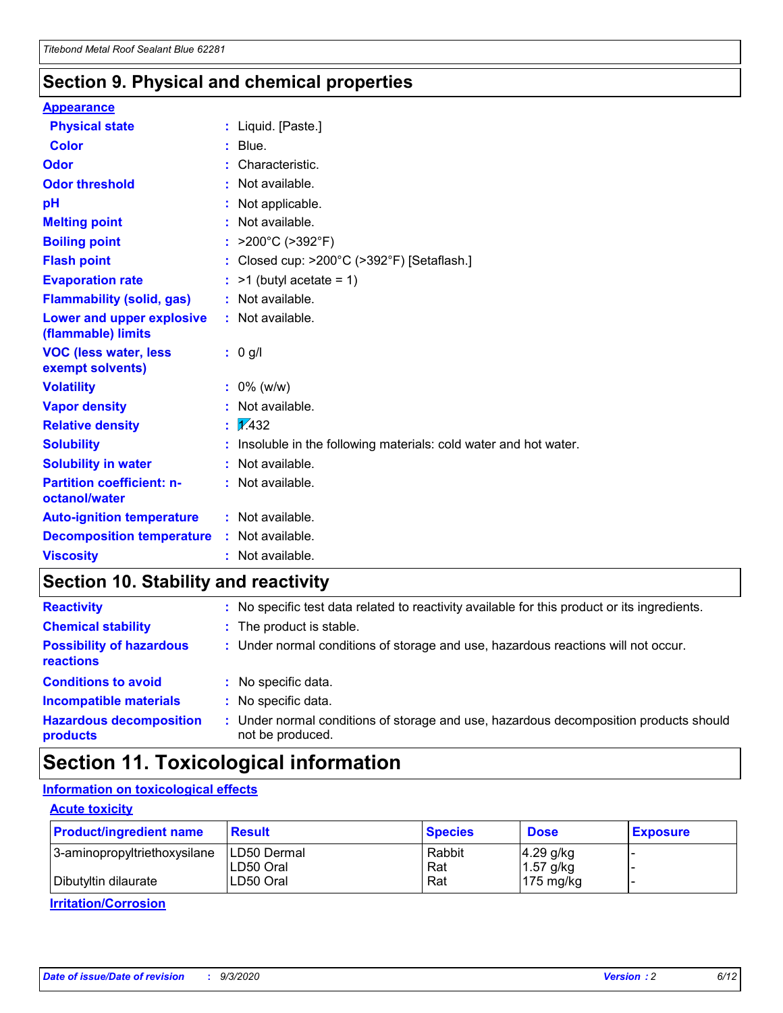### **Section 9. Physical and chemical properties**

#### **Appearance**

| <b>Physical state</b>                             | : Liquid. [Paste.]                                              |
|---------------------------------------------------|-----------------------------------------------------------------|
| <b>Color</b>                                      | $:$ Blue.                                                       |
| Odor                                              | Characteristic.                                                 |
| <b>Odor threshold</b>                             | : Not available.                                                |
| pH                                                | : Not applicable.                                               |
| <b>Melting point</b>                              | : Not available.                                                |
| <b>Boiling point</b>                              | : $>200^{\circ}$ C ( $>392^{\circ}$ F)                          |
| <b>Flash point</b>                                | : Closed cup: >200°C (>392°F) [Setaflash.]                      |
| <b>Evaporation rate</b>                           | $:$ >1 (butyl acetate = 1)                                      |
| <b>Flammability (solid, gas)</b>                  | : Not available.                                                |
| Lower and upper explosive<br>(flammable) limits   | $:$ Not available.                                              |
| <b>VOC (less water, less</b><br>exempt solvents)  | : 0 g/l                                                         |
| <b>Volatility</b>                                 | $: 0\%$ (w/w)                                                   |
| <b>Vapor density</b>                              | : Not available.                                                |
| <b>Relative density</b>                           | $\frac{1}{2}$ $\frac{1}{432}$                                   |
| <b>Solubility</b>                                 | Insoluble in the following materials: cold water and hot water. |
| <b>Solubility in water</b>                        | : Not available.                                                |
| <b>Partition coefficient: n-</b><br>octanol/water | $:$ Not available.                                              |
| <b>Auto-ignition temperature</b>                  | : Not available.                                                |
| <b>Decomposition temperature</b>                  | $:$ Not available.                                              |
| <b>Viscosity</b>                                  | $:$ Not available.                                              |

### **Section 10. Stability and reactivity**

| <b>Reactivity</b>                            | : No specific test data related to reactivity available for this product or its ingredients.            |
|----------------------------------------------|---------------------------------------------------------------------------------------------------------|
| <b>Chemical stability</b>                    | : The product is stable.                                                                                |
| <b>Possibility of hazardous</b><br>reactions | : Under normal conditions of storage and use, hazardous reactions will not occur.                       |
| <b>Conditions to avoid</b>                   | : No specific data.                                                                                     |
| <b>Incompatible materials</b>                | : No specific data.                                                                                     |
| <b>Hazardous decomposition</b><br>products   | Under normal conditions of storage and use, hazardous decomposition products should<br>not be produced. |

### **Section 11. Toxicological information**

#### **Information on toxicological effects**

#### **Acute toxicity**

| <b>Product/ingredient name</b> | <b>Result</b> | <b>Species</b> | <b>Dose</b>         | <b>Exposure</b> |
|--------------------------------|---------------|----------------|---------------------|-----------------|
| 3-aminopropyltriethoxysilane   | LD50 Dermal   | Rabbit         | $4.29$ g/kg         |                 |
|                                | ILD50 Oral    | Rat            | 1.57 g/kg           |                 |
| Dibutyltin dilaurate           | LD50 Oral     | Rat            | $175 \text{ mg/kg}$ |                 |

**Irritation/Corrosion**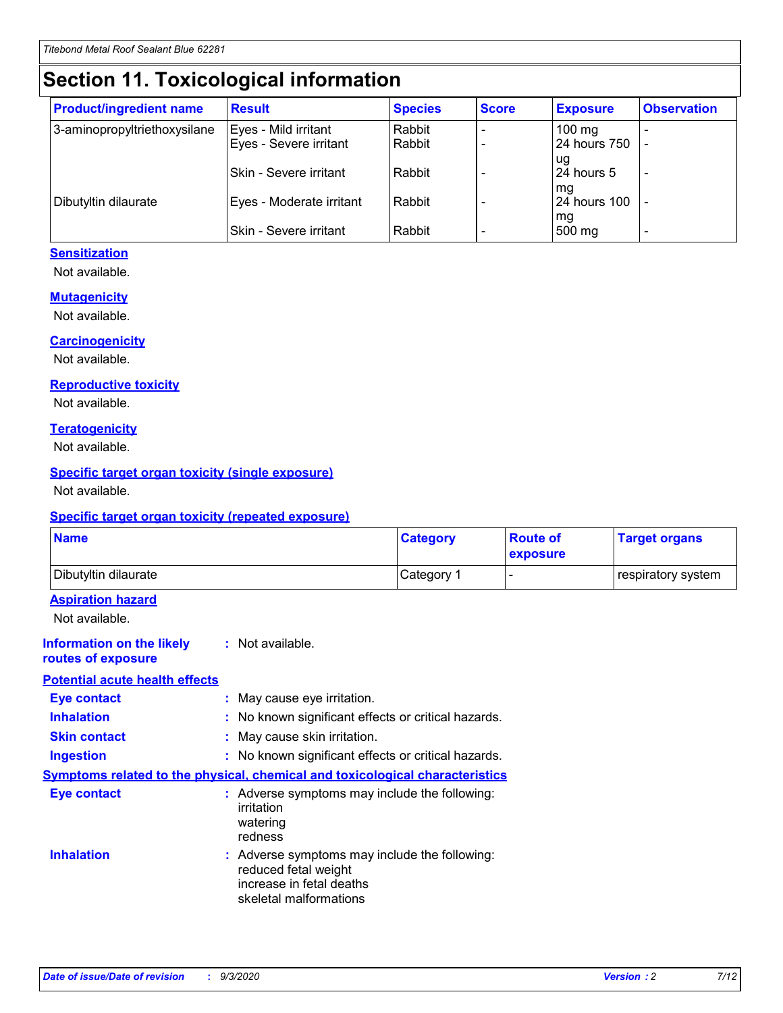# **Section 11. Toxicological information**

| <b>Product/ingredient name</b> | <b>Result</b>            | <b>Species</b> | <b>Score</b> | <b>Exposure</b>     | <b>Observation</b> |
|--------------------------------|--------------------------|----------------|--------------|---------------------|--------------------|
| 3-aminopropyltriethoxysilane   | Eyes - Mild irritant     | Rabbit         |              | $100 \text{ mg}$    |                    |
|                                | Eyes - Severe irritant   | Rabbit         |              | 24 hours 750        |                    |
|                                |                          |                |              | ug                  |                    |
|                                | Skin - Severe irritant   | Rabbit         |              | 24 hours 5          | ۰                  |
|                                |                          |                |              | mq                  |                    |
| Dibutyltin dilaurate           | Eyes - Moderate irritant | Rabbit         |              | <b>24 hours 100</b> |                    |
|                                | Skin - Severe irritant   | Rabbit         |              | mg<br>500 mg        |                    |

#### **Sensitization**

Not available.

#### **Mutagenicity**

Not available.

#### **Carcinogenicity**

Not available.

#### **Reproductive toxicity**

Not available.

#### **Teratogenicity**

Not available.

#### **Specific target organ toxicity (single exposure)**

Not available.

#### **Specific target organ toxicity (repeated exposure)**

| <b>Name</b>                                                                  |                                                                            | <b>Category</b>                                     | <b>Route of</b><br>exposure | <b>Target organs</b> |  |
|------------------------------------------------------------------------------|----------------------------------------------------------------------------|-----------------------------------------------------|-----------------------------|----------------------|--|
| Dibutyltin dilaurate                                                         |                                                                            | Category 1                                          | -                           | respiratory system   |  |
| <b>Aspiration hazard</b><br>Not available.                                   |                                                                            |                                                     |                             |                      |  |
| <b>Information on the likely</b><br>routes of exposure                       | : Not available.                                                           |                                                     |                             |                      |  |
| <b>Potential acute health effects</b>                                        |                                                                            |                                                     |                             |                      |  |
| <b>Eye contact</b>                                                           | : May cause eye irritation.                                                |                                                     |                             |                      |  |
| <b>Inhalation</b>                                                            |                                                                            | : No known significant effects or critical hazards. |                             |                      |  |
| <b>Skin contact</b>                                                          |                                                                            | : May cause skin irritation.                        |                             |                      |  |
| <b>Ingestion</b>                                                             |                                                                            | : No known significant effects or critical hazards. |                             |                      |  |
| Symptoms related to the physical, chemical and toxicological characteristics |                                                                            |                                                     |                             |                      |  |
| <b>Eye contact</b>                                                           | irritation<br>watering<br>redness                                          | : Adverse symptoms may include the following:       |                             |                      |  |
| <b>Inhalation</b>                                                            | reduced fetal weight<br>increase in fetal deaths<br>skeletal malformations | : Adverse symptoms may include the following:       |                             |                      |  |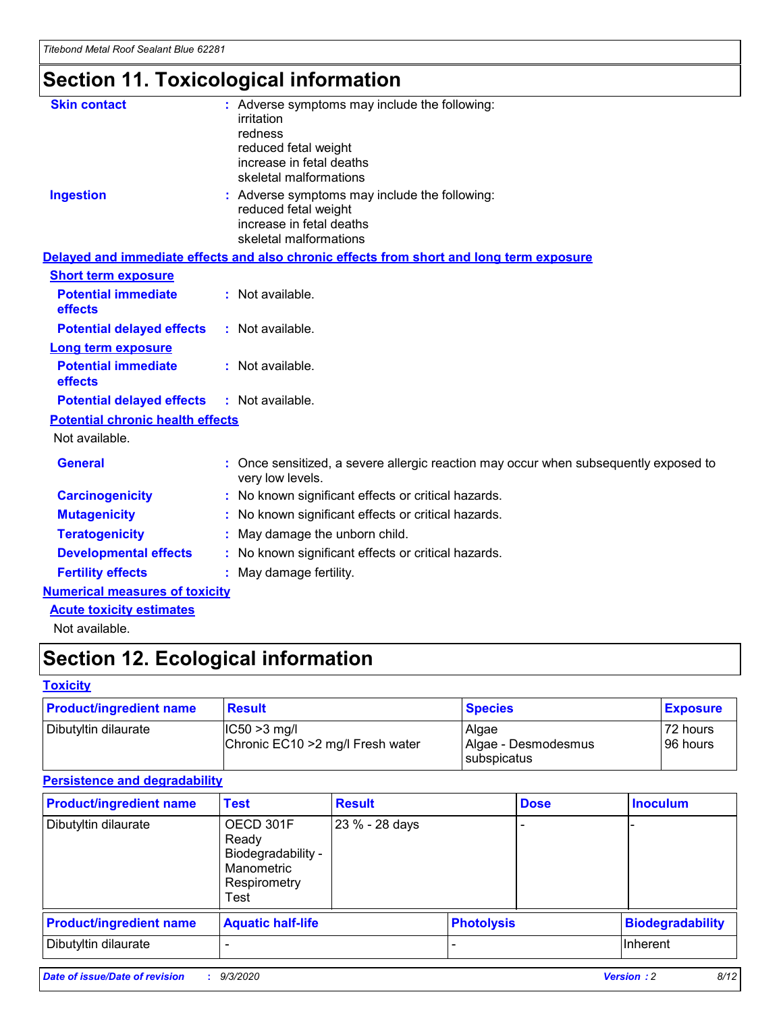# **Section 11. Toxicological information**

| <b>Skin contact</b>                     | : Adverse symptoms may include the following:                                                            |
|-----------------------------------------|----------------------------------------------------------------------------------------------------------|
|                                         | irritation                                                                                               |
|                                         | redness                                                                                                  |
|                                         | reduced fetal weight                                                                                     |
|                                         | increase in fetal deaths                                                                                 |
|                                         | skeletal malformations                                                                                   |
| <b>Ingestion</b>                        | : Adverse symptoms may include the following:                                                            |
|                                         | reduced fetal weight                                                                                     |
|                                         | increase in fetal deaths                                                                                 |
|                                         | skeletal malformations                                                                                   |
|                                         | Delayed and immediate effects and also chronic effects from short and long term exposure                 |
| <b>Short term exposure</b>              |                                                                                                          |
| <b>Potential immediate</b>              | : Not available.                                                                                         |
| effects                                 |                                                                                                          |
| <b>Potential delayed effects</b>        | : Not available.                                                                                         |
| Long term exposure                      |                                                                                                          |
| <b>Potential immediate</b>              | : Not available.                                                                                         |
| effects                                 |                                                                                                          |
| <b>Potential delayed effects</b>        | : Not available.                                                                                         |
| <b>Potential chronic health effects</b> |                                                                                                          |
| Not available.                          |                                                                                                          |
| <b>General</b>                          | : Once sensitized, a severe allergic reaction may occur when subsequently exposed to<br>very low levels. |
| <b>Carcinogenicity</b>                  | : No known significant effects or critical hazards.                                                      |
| <b>Mutagenicity</b>                     | : No known significant effects or critical hazards.                                                      |
| <b>Teratogenicity</b>                   | May damage the unborn child.                                                                             |
| <b>Developmental effects</b>            | : No known significant effects or critical hazards.                                                      |
| <b>Fertility effects</b>                | May damage fertility.                                                                                    |
| <b>Numerical measures of toxicity</b>   |                                                                                                          |
| <b>Acute toxicity estimates</b>         |                                                                                                          |
| الملحلة والمستحيط والمسالم              |                                                                                                          |

Not available.

## **Section 12. Ecological information**

#### **Toxicity**

| <b>Product/ingredient name</b> | <b>Result</b>                                       | <b>Species</b>               | <b>Exposure</b>       |
|--------------------------------|-----------------------------------------------------|------------------------------|-----------------------|
| Dibutyltin dilaurate           | $ CC50>3$ mg/l<br>Chronic EC10 > 2 mg/l Fresh water | Algae<br>Algae - Desmodesmus | 72 hours<br>196 hours |
|                                |                                                     | <b>I</b> subspicatus         |                       |

#### **Persistence and degradability**

| <b>Product/ingredient name</b> | <b>Test</b>                                                                    | <b>Result</b>  |                   | <b>Dose</b> | <b>Inoculum</b>         |
|--------------------------------|--------------------------------------------------------------------------------|----------------|-------------------|-------------|-------------------------|
| Dibutyltin dilaurate           | OECD 301F<br>Ready<br>Biodegradability -<br>Manometric<br>Respirometry<br>Test | 23 % - 28 days |                   |             |                         |
| <b>Product/ingredient name</b> | <b>Aquatic half-life</b>                                                       |                | <b>Photolysis</b> |             | <b>Biodegradability</b> |
| Dibutyltin dilaurate           |                                                                                |                |                   |             | <b>Inherent</b>         |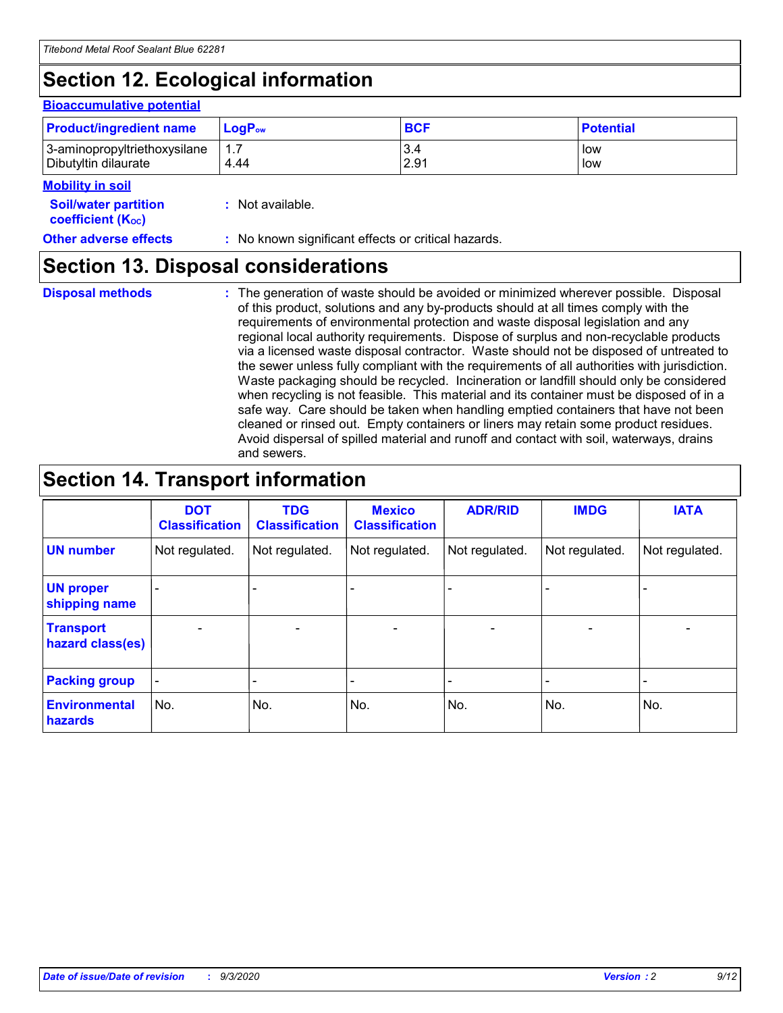# **Section 12. Ecological information**

#### **Bioaccumulative potential**

| <b>Product/ingredient name</b> | <b>LogP</b> <sub>ow</sub> | <b>BCF</b> | <b>Potential</b> |
|--------------------------------|---------------------------|------------|------------------|
| 3-aminopropyltriethoxysilane   | 4.44                      | 3.4        | low              |
| Dibutyltin dilaurate           |                           | 2.91       | low              |

#### **Mobility in soil**

| <b>Soil/water partition</b>    | : Not available. |
|--------------------------------|------------------|
| coefficient (K <sub>oc</sub> ) |                  |

**Other adverse effects** : No known significant effects or critical hazards.

### **Section 13. Disposal considerations**

**Disposal methods :**

The generation of waste should be avoided or minimized wherever possible. Disposal of this product, solutions and any by-products should at all times comply with the requirements of environmental protection and waste disposal legislation and any regional local authority requirements. Dispose of surplus and non-recyclable products via a licensed waste disposal contractor. Waste should not be disposed of untreated to the sewer unless fully compliant with the requirements of all authorities with jurisdiction. Waste packaging should be recycled. Incineration or landfill should only be considered when recycling is not feasible. This material and its container must be disposed of in a safe way. Care should be taken when handling emptied containers that have not been cleaned or rinsed out. Empty containers or liners may retain some product residues. Avoid dispersal of spilled material and runoff and contact with soil, waterways, drains and sewers.

### **Section 14. Transport information**

|                                      | <b>DOT</b><br><b>Classification</b> | <b>TDG</b><br><b>Classification</b> | <b>Mexico</b><br><b>Classification</b> | <b>ADR/RID</b>           | <b>IMDG</b>              | <b>IATA</b>    |
|--------------------------------------|-------------------------------------|-------------------------------------|----------------------------------------|--------------------------|--------------------------|----------------|
| <b>UN number</b>                     | Not regulated.                      | Not regulated.                      | Not regulated.                         | Not regulated.           | Not regulated.           | Not regulated. |
| <b>UN proper</b><br>shipping name    |                                     |                                     |                                        |                          |                          |                |
| <b>Transport</b><br>hazard class(es) |                                     | $\overline{\phantom{0}}$            | $\qquad \qquad \blacksquare$           | $\overline{\phantom{0}}$ | $\overline{\phantom{0}}$ |                |
| <b>Packing group</b>                 |                                     |                                     |                                        |                          |                          |                |
| <b>Environmental</b><br>hazards      | No.                                 | No.                                 | No.                                    | No.                      | No.                      | No.            |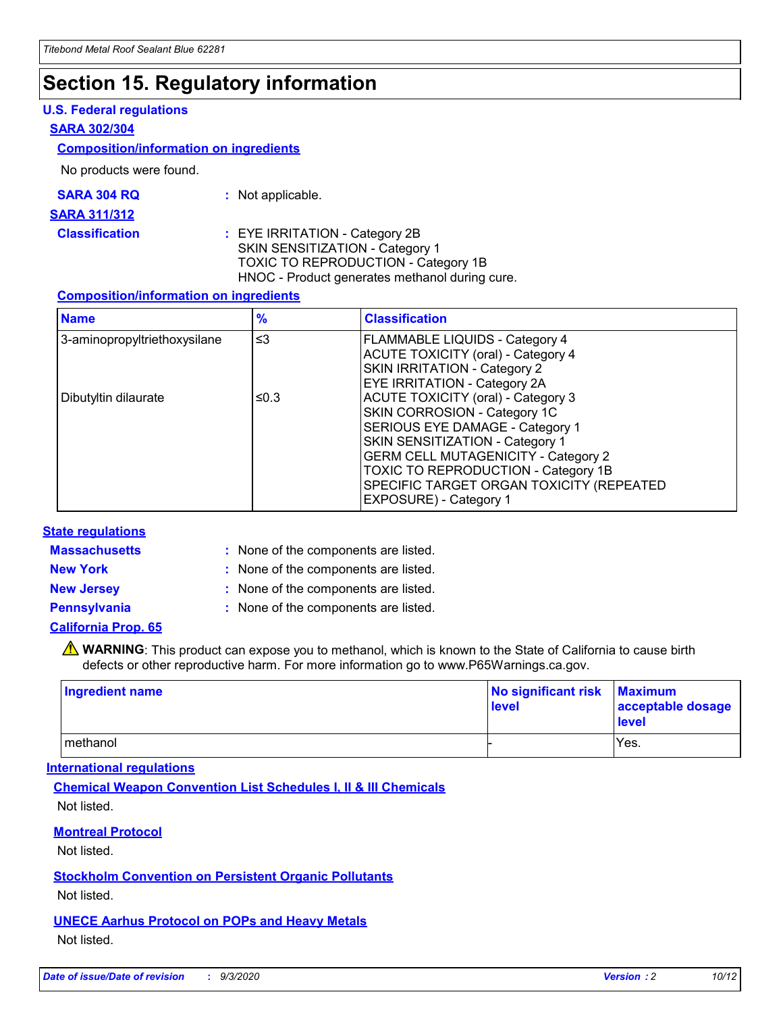### **Section 15. Regulatory information**

#### **U.S. Federal regulations**

#### **SARA 302/304**

#### **Composition/information on ingredients**

No products were found.

| SARA 304 RQ | Not applicable. |
|-------------|-----------------|
|-------------|-----------------|

#### **SARA 311/312**

#### **Classification :** EYE IRRITATION - Category 2B SKIN SENSITIZATION - Category 1 TOXIC TO REPRODUCTION - Category 1B HNOC - Product generates methanol during cure.

#### **Composition/information on ingredients**

| <b>Name</b>                  | $\frac{9}{6}$ | <b>Classification</b>                                                                                                                                                                                                                                                                                      |
|------------------------------|---------------|------------------------------------------------------------------------------------------------------------------------------------------------------------------------------------------------------------------------------------------------------------------------------------------------------------|
| 3-aminopropyltriethoxysilane | $\leq$ 3      | <b>FLAMMABLE LIQUIDS - Category 4</b><br><b>ACUTE TOXICITY (oral) - Category 4</b><br><b>SKIN IRRITATION - Category 2</b><br>EYE IRRITATION - Category 2A                                                                                                                                                  |
| Dibutyltin dilaurate         | ≤0.3          | <b>ACUTE TOXICITY (oral) - Category 3</b><br>SKIN CORROSION - Category 1C<br>SERIOUS EYE DAMAGE - Category 1<br>SKIN SENSITIZATION - Category 1<br><b>GERM CELL MUTAGENICITY - Category 2</b><br>TOXIC TO REPRODUCTION - Category 1B<br>SPECIFIC TARGET ORGAN TOXICITY (REPEATED<br>EXPOSURE) - Category 1 |

#### **State regulations**

**Massachusetts :**

: None of the components are listed.

**New York :** None of the components are listed. **New Jersey :** None of the components are listed.

**Pennsylvania :** None of the components are listed.

#### **California Prop. 65**

WARNING: This product can expose you to methanol, which is known to the State of California to cause birth defects or other reproductive harm. For more information go to www.P65Warnings.ca.gov.

| Ingredient name | No significant risk<br>level | <b>Maximum</b><br>acceptable dosage<br><b>level</b> |
|-----------------|------------------------------|-----------------------------------------------------|
| l methanol      |                              | Yes.                                                |

#### **International regulations**

**Chemical Weapon Convention List Schedules I, II & III Chemicals** Not listed.

#### **Montreal Protocol**

Not listed.

**Stockholm Convention on Persistent Organic Pollutants**

Not listed.

#### **UNECE Aarhus Protocol on POPs and Heavy Metals** Not listed.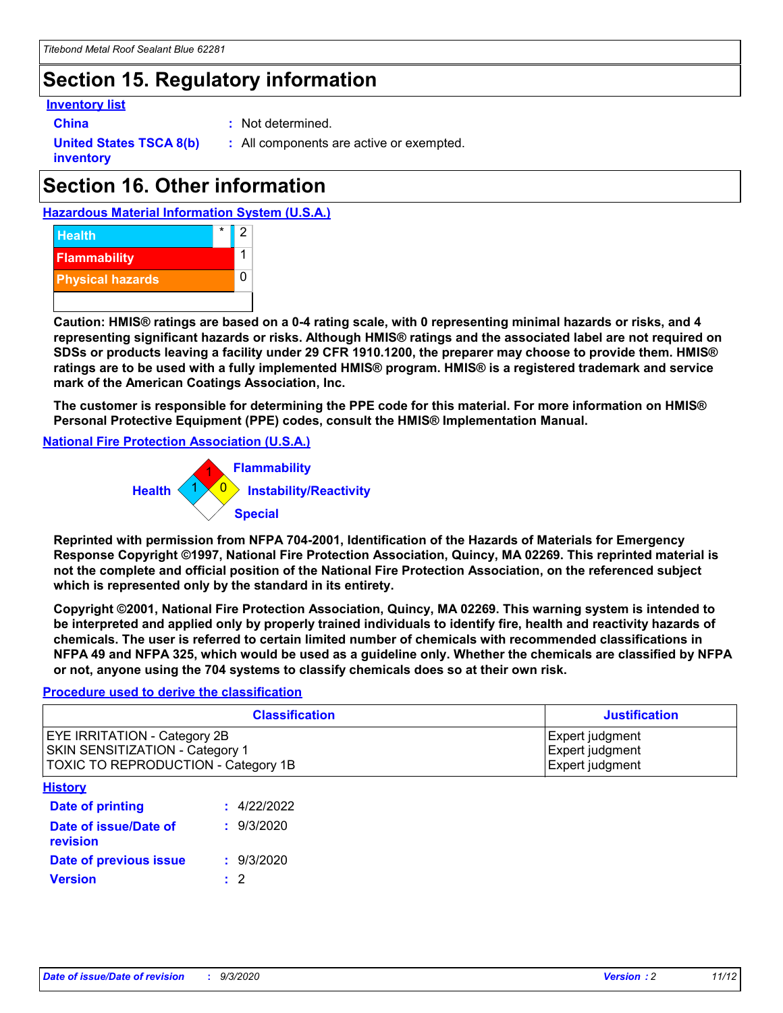### **Section 15. Regulatory information**

#### **Inventory list**

**China :** Not determined.

**United States TSCA 8(b) inventory**

**:** All components are active or exempted.

## **Section 16. Other information**





**Caution: HMIS® ratings are based on a 0-4 rating scale, with 0 representing minimal hazards or risks, and 4 representing significant hazards or risks. Although HMIS® ratings and the associated label are not required on SDSs or products leaving a facility under 29 CFR 1910.1200, the preparer may choose to provide them. HMIS® ratings are to be used with a fully implemented HMIS® program. HMIS® is a registered trademark and service mark of the American Coatings Association, Inc.**

**The customer is responsible for determining the PPE code for this material. For more information on HMIS® Personal Protective Equipment (PPE) codes, consult the HMIS® Implementation Manual.**

**National Fire Protection Association (U.S.A.)**



**Reprinted with permission from NFPA 704-2001, Identification of the Hazards of Materials for Emergency Response Copyright ©1997, National Fire Protection Association, Quincy, MA 02269. This reprinted material is not the complete and official position of the National Fire Protection Association, on the referenced subject which is represented only by the standard in its entirety.**

**Copyright ©2001, National Fire Protection Association, Quincy, MA 02269. This warning system is intended to be interpreted and applied only by properly trained individuals to identify fire, health and reactivity hazards of chemicals. The user is referred to certain limited number of chemicals with recommended classifications in NFPA 49 and NFPA 325, which would be used as a guideline only. Whether the chemicals are classified by NFPA or not, anyone using the 704 systems to classify chemicals does so at their own risk.**

#### **Procedure used to derive the classification**

| <b>Classification</b>                                                                                         | <b>Justification</b>                                  |
|---------------------------------------------------------------------------------------------------------------|-------------------------------------------------------|
| <b>EYE IRRITATION - Category 2B</b><br>SKIN SENSITIZATION - Category 1<br>TOXIC TO REPRODUCTION - Category 1B | Expert judgment<br>Expert judgment<br>Expert judgment |
| <b>History</b>                                                                                                |                                                       |

| .                                 |             |
|-----------------------------------|-------------|
| <b>Date of printing</b>           | : 4/22/2022 |
| Date of issue/Date of<br>revision | : 9/3/2020  |
| Date of previous issue            | : 9/3/2020  |
| <b>Version</b>                    | $\cdot$ 2   |
|                                   |             |